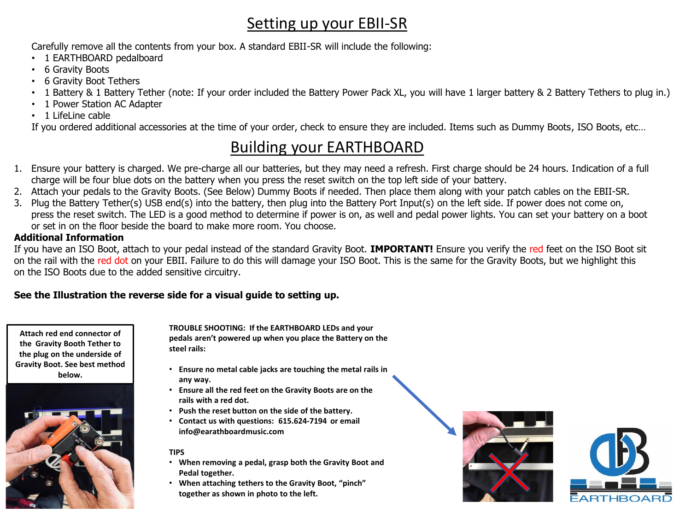## Setting up your EBII-SR

Carefully remove all the contents from your box. A standard EBII-SR will include the following:

- 1 EARTHBOARD pedalboard
- 6 Gravity Boots
- 6 Gravity Boot Tethers
- 1 Battery & 1 Battery Tether (note: If your order included the Battery Power Pack XL, you will have 1 larger battery & 2 Battery Tethers to plug in.)
- 1 Power Station AC Adapter
- 1 LifeLine cable

If you ordered additional accessories at the time of your order, check to ensure they are included. Items such as Dummy Boots, ISO Boots, etc…

## Building your EARTHBOARD

- 1. Ensure your battery is charged. We pre-charge all our batteries, but they may need a refresh. First charge should be 24 hours. Indication of a full charge will be four blue dots on the battery when you press the reset switch on the top left side of your battery.
- 2. Attach your pedals to the Gravity Boots. (See Below) Dummy Boots if needed. Then place them along with your patch cables on the EBII-SR.
- 3. Plug the Battery Tether(s) USB end(s) into the battery, then plug into the Battery Port Input(s) on the left side. If power does not come on, press the reset switch. The LED is a good method to determine if power is on, as well and pedal power lights. You can set your battery on a boot or set in on the floor beside the board to make more room. You choose.

#### **Additional Information**

If you have an ISO Boot, attach to your pedal instead of the standard Gravity Boot. **IMPORTANT!** Ensure you verify the red feet on the ISO Boot sit on the rail with the red dot on your EBII. Failure to do this will damage your ISO Boot. This is the same for the Gravity Boots, but we highlight this on the ISO Boots due to the added sensitive circuitry.

### **See the Illustration the reverse side for a visual guide to setting up.**

**Attach red end connector of the Gravity Booth Tether to the plug on the underside of Gravity Boot. See best method below.**



**TROUBLE SHOOTING: If the EARTHBOARD LEDs and your pedals aren't powered up when you place the Battery on the steel rails:**

- **Ensure no metal cable jacks are touching the metal rails in any way.**
- **Ensure all the red feet on the Gravity Boots are on the rails with a red dot.**
- **Push the reset button on the side of the battery.**
- **Contact us with questions: 615.624-7194 or email info@earathboardmusic.com**

#### **TIPS**

- **When removing a pedal, grasp both the Gravity Boot and Pedal together.**
- **When attaching tethers to the Gravity Boot, "pinch" together as shown in photo to the left.**